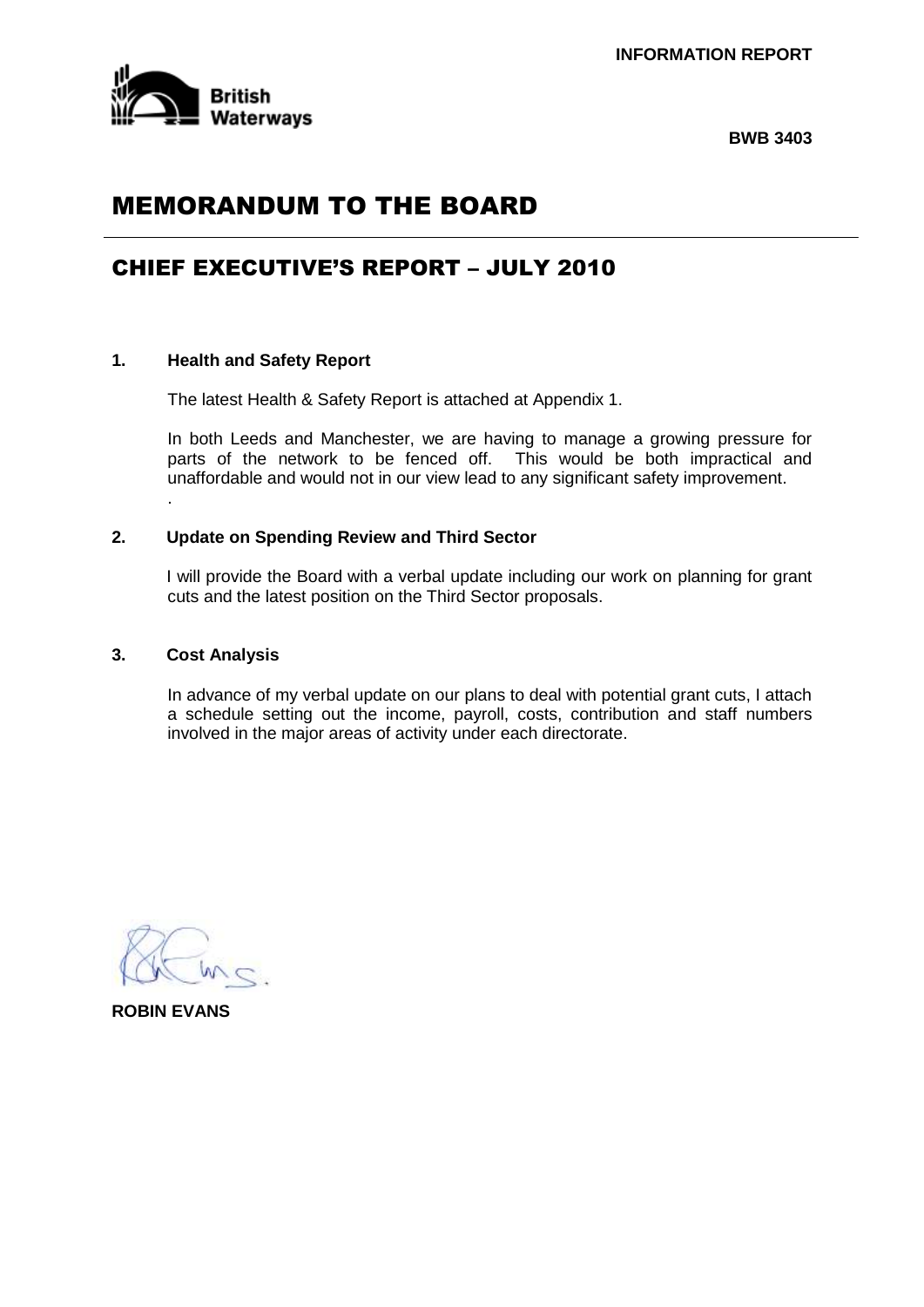

**BWB 3403**

# MEMORANDUM TO THE BOARD

# CHIEF EXECUTIVE'S REPORT – JULY 2010

# **1. Health and Safety Report**

The latest Health & Safety Report is attached at Appendix 1.

In both Leeds and Manchester, we are having to manage a growing pressure for parts of the network to be fenced off. This would be both impractical and unaffordable and would not in our view lead to any significant safety improvement.

#### **2. Update on Spending Review and Third Sector**

I will provide the Board with a verbal update including our work on planning for grant cuts and the latest position on the Third Sector proposals.

#### **3. Cost Analysis**

.

In advance of my verbal update on our plans to deal with potential grant cuts, I attach a schedule setting out the income, payroll, costs, contribution and staff numbers involved in the major areas of activity under each directorate.

**ROBIN EVANS**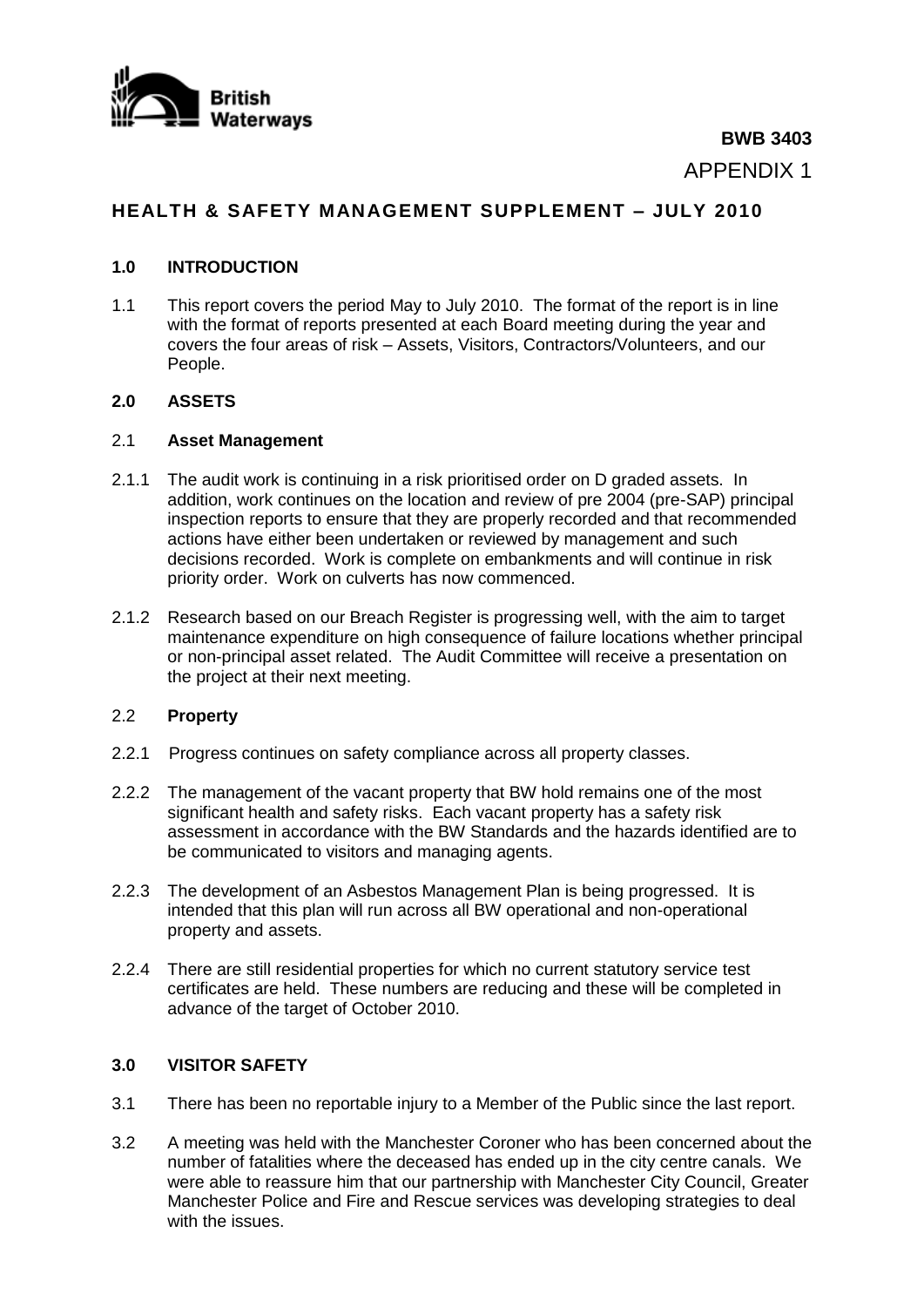

**BWB 3403** APPENDIX 1

# **HEALTH & SAFETY MANAGEMENT SUPPLEMENT – JULY 2010**

# **1.0 INTRODUCTION**

1.1 This report covers the period May to July 2010. The format of the report is in line with the format of reports presented at each Board meeting during the year and covers the four areas of risk – Assets, Visitors, Contractors/Volunteers, and our People.

## **2.0 ASSETS**

#### 2.1 **Asset Management**

- 2.1.1 The audit work is continuing in a risk prioritised order on D graded assets. In addition, work continues on the location and review of pre 2004 (pre-SAP) principal inspection reports to ensure that they are properly recorded and that recommended actions have either been undertaken or reviewed by management and such decisions recorded. Work is complete on embankments and will continue in risk priority order. Work on culverts has now commenced.
- 2.1.2 Research based on our Breach Register is progressing well, with the aim to target maintenance expenditure on high consequence of failure locations whether principal or non-principal asset related. The Audit Committee will receive a presentation on the project at their next meeting.

## 2.2 **Property**

- 2.2.1 Progress continues on safety compliance across all property classes.
- 2.2.2 The management of the vacant property that BW hold remains one of the most significant health and safety risks. Each vacant property has a safety risk assessment in accordance with the BW Standards and the hazards identified are to be communicated to visitors and managing agents.
- 2.2.3 The development of an Asbestos Management Plan is being progressed. It is intended that this plan will run across all BW operational and non-operational property and assets.
- 2.2.4 There are still residential properties for which no current statutory service test certificates are held. These numbers are reducing and these will be completed in advance of the target of October 2010.

## **3.0 VISITOR SAFETY**

- 3.1 There has been no reportable injury to a Member of the Public since the last report.
- 3.2 A meeting was held with the Manchester Coroner who has been concerned about the number of fatalities where the deceased has ended up in the city centre canals. We were able to reassure him that our partnership with Manchester City Council, Greater Manchester Police and Fire and Rescue services was developing strategies to deal with the issues.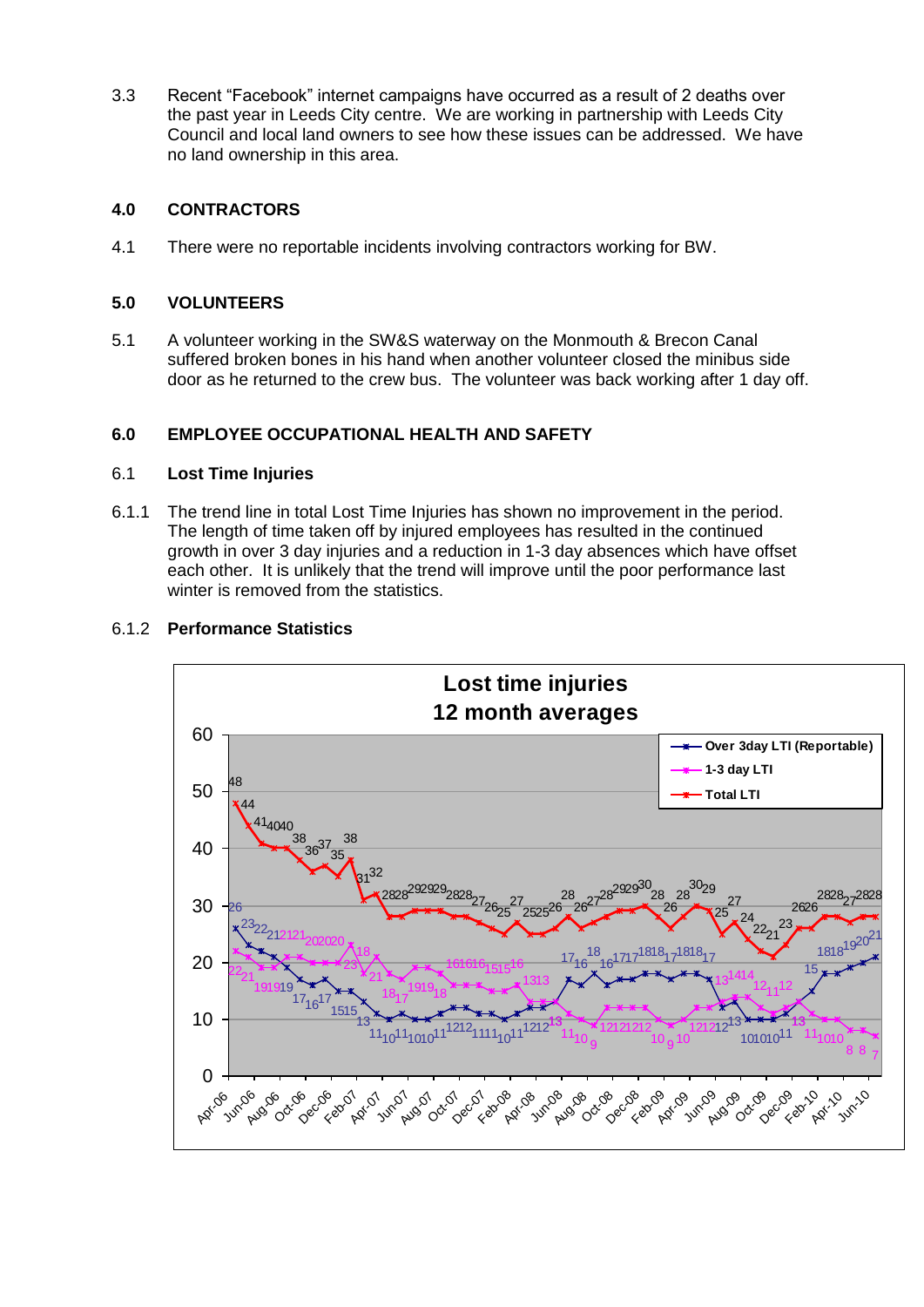3.3 Recent "Facebook" internet campaigns have occurred as a result of 2 deaths over the past year in Leeds City centre. We are working in partnership with Leeds City Council and local land owners to see how these issues can be addressed. We have no land ownership in this area.

# **4.0 CONTRACTORS**

4.1 There were no reportable incidents involving contractors working for BW.

# **5.0 VOLUNTEERS**

5.1 A volunteer working in the SW&S waterway on the Monmouth & Brecon Canal suffered broken bones in his hand when another volunteer closed the minibus side door as he returned to the crew bus. The volunteer was back working after 1 day off.

# **6.0 EMPLOYEE OCCUPATIONAL HEALTH AND SAFETY**

## 6.1 **Lost Time Injuries**

6.1.1 The trend line in total Lost Time Injuries has shown no improvement in the period. The length of time taken off by injured employees has resulted in the continued growth in over 3 day injuries and a reduction in 1-3 day absences which have offset each other. It is unlikely that the trend will improve until the poor performance last winter is removed from the statistics.



# 6.1.2 **Performance Statistics**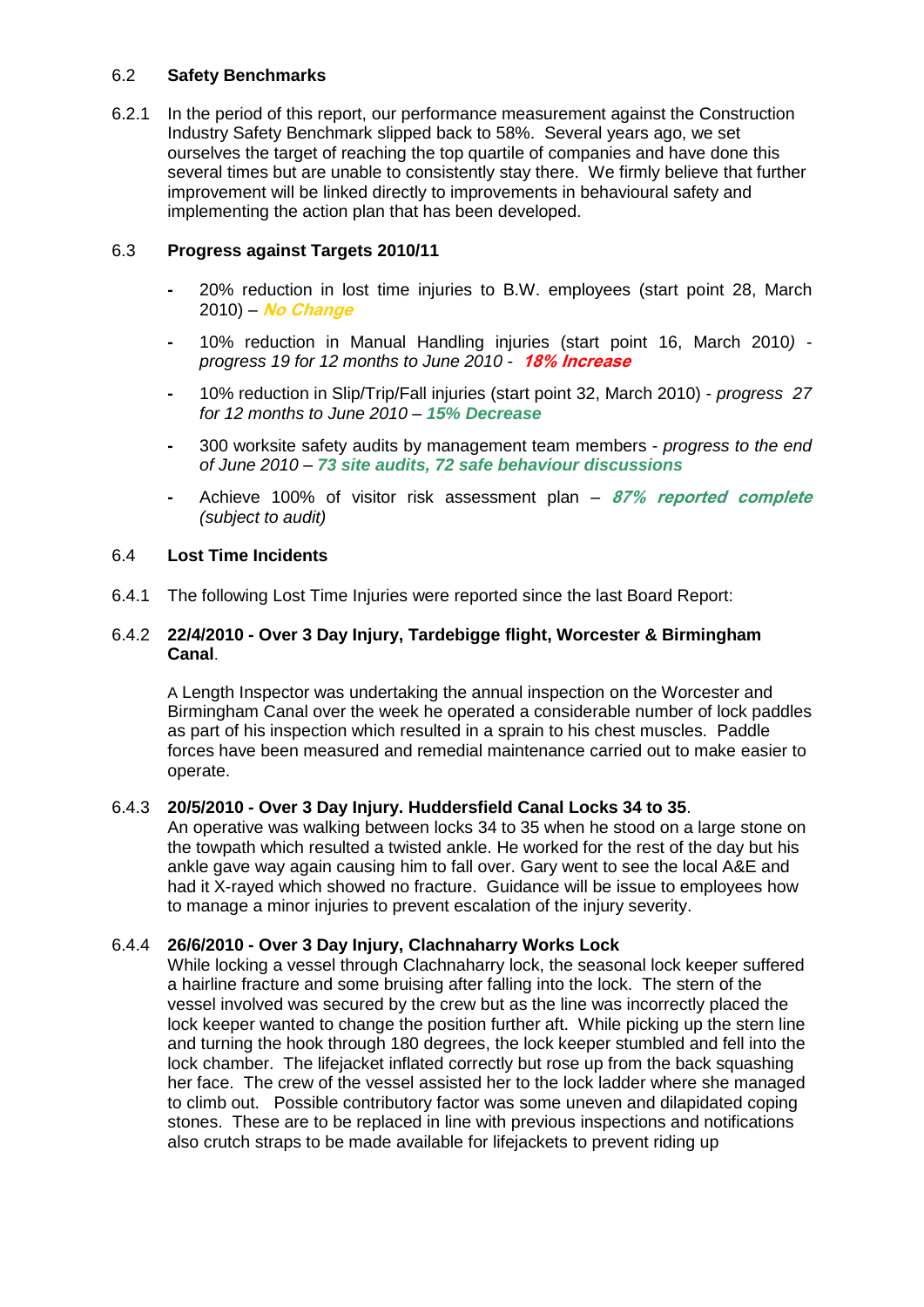# 6.2 **Safety Benchmarks**

6.2.1 In the period of this report, our performance measurement against the Construction Industry Safety Benchmark slipped back to 58%. Several years ago, we set ourselves the target of reaching the top quartile of companies and have done this several times but are unable to consistently stay there. We firmly believe that further improvement will be linked directly to improvements in behavioural safety and implementing the action plan that has been developed.

# 6.3 **Progress against Targets 2010/11**

- **-** 20% reduction in lost time injuries to B.W. employees (start point 28, March 2010) – **No Change**
- **-** 10% reduction in Manual Handling injuries (start point 16, March 2010*) progress 19 for 12 months to June 2010 -* **18% Increase**
- **-** 10% reduction in Slip/Trip/Fall injuries (start point 32, March 2010) *progress 27 for 12 months to June 2010 – 15% Decrease*
- **-** 300 worksite safety audits by management team members *progress to the end of June 2010 – 73 site audits, 72 safe behaviour discussions*
- **-** Achieve 100% of visitor risk assessment plan **87% reported complete** *(subject to audit)*

## 6.4 **Lost Time Incidents**

6.4.1 The following Lost Time Injuries were reported since the last Board Report:

## 6.4.2 **22/4/2010 - Over 3 Day Injury, Tardebigge flight, Worcester & Birmingham Canal**.

A Length Inspector was undertaking the annual inspection on the Worcester and Birmingham Canal over the week he operated a considerable number of lock paddles as part of his inspection which resulted in a sprain to his chest muscles. Paddle forces have been measured and remedial maintenance carried out to make easier to operate.

## 6.4.3 **20/5/2010 - Over 3 Day Injury. Huddersfield Canal Locks 34 to 35**.

An operative was walking between locks 34 to 35 when he stood on a large stone on the towpath which resulted a twisted ankle. He worked for the rest of the day but his ankle gave way again causing him to fall over. Gary went to see the local A&E and had it X-rayed which showed no fracture. Guidance will be issue to employees how to manage a minor injuries to prevent escalation of the injury severity.

## 6.4.4 **26/6/2010 - Over 3 Day Injury, Clachnaharry Works Lock**

While locking a vessel through Clachnaharry lock, the seasonal lock keeper suffered a hairline fracture and some bruising after falling into the lock. The stern of the vessel involved was secured by the crew but as the line was incorrectly placed the lock keeper wanted to change the position further aft. While picking up the stern line and turning the hook through 180 degrees, the lock keeper stumbled and fell into the lock chamber. The lifejacket inflated correctly but rose up from the back squashing her face. The crew of the vessel assisted her to the lock ladder where she managed to climb out. Possible contributory factor was some uneven and dilapidated coping stones. These are to be replaced in line with previous inspections and notifications also crutch straps to be made available for lifejackets to prevent riding up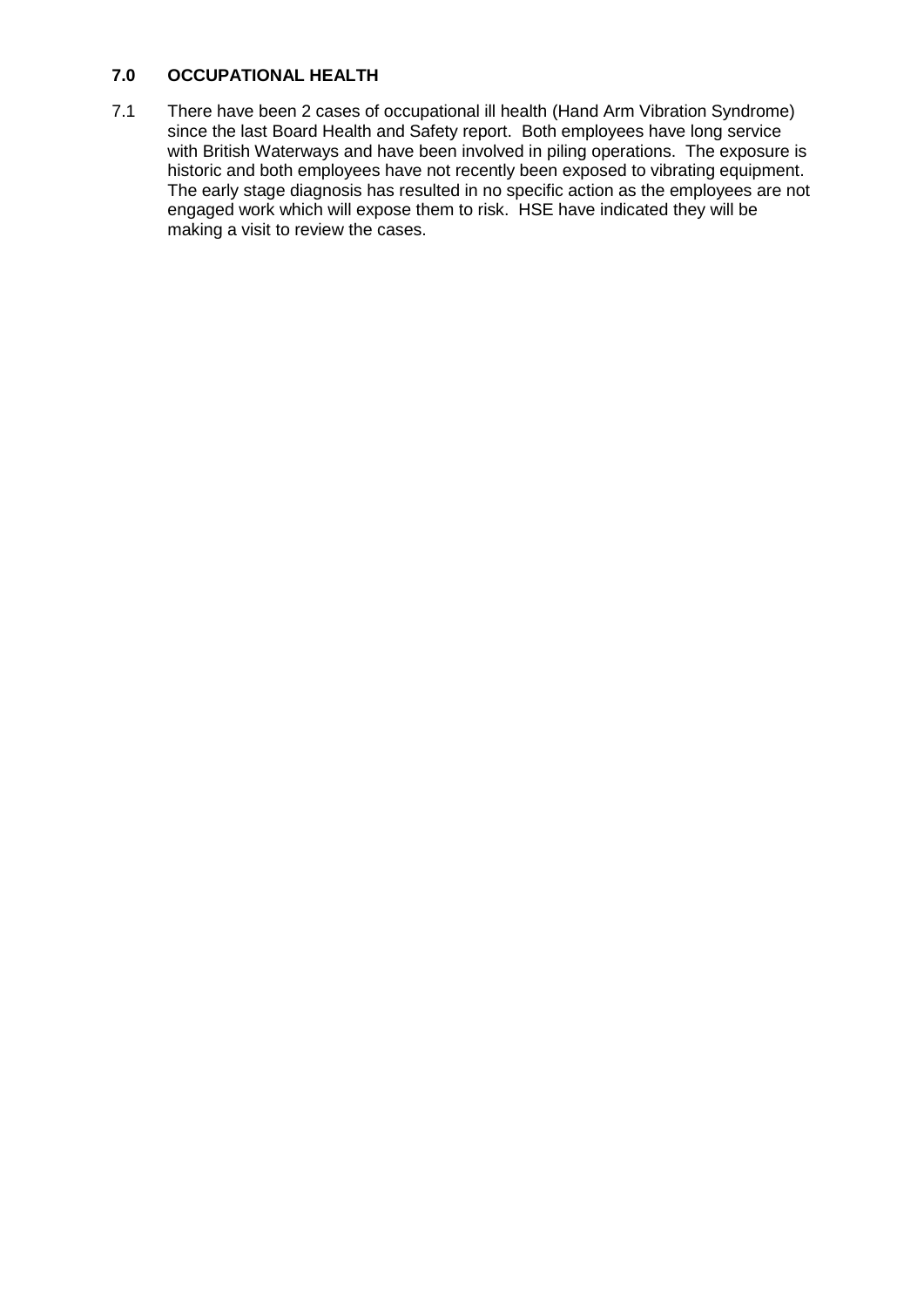# **7.0 OCCUPATIONAL HEALTH**

7.1 There have been 2 cases of occupational ill health (Hand Arm Vibration Syndrome) since the last Board Health and Safety report. Both employees have long service with British Waterways and have been involved in piling operations. The exposure is historic and both employees have not recently been exposed to vibrating equipment. The early stage diagnosis has resulted in no specific action as the employees are not engaged work which will expose them to risk. HSE have indicated they will be making a visit to review the cases.